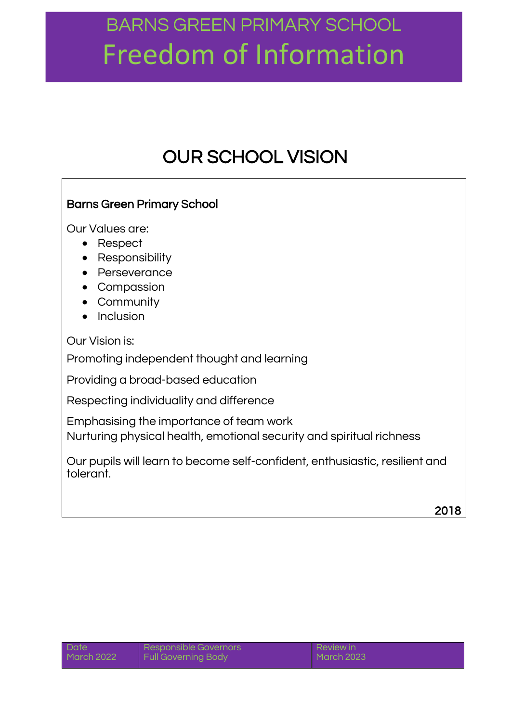### OUR SCHOOL VISION

### Barns Green Primary School

Our Values are:

- Respect
- Responsibility
- Perseverance
- Compassion
- Community
- $\bullet$  Inclusion

Our Vision is:

Promoting independent thought and learning

Providing a broad-based education

Respecting individuality and difference

Emphasising the importance of team work

Nurturing physical health, emotional security and spiritual richness

Our pupils will learn to become self-confident, enthusiastic, resilient and tolerant.

| Date       | Responsible Governors | I Review in |
|------------|-----------------------|-------------|
| March 2022 | Full Governing Body   | March 2023  |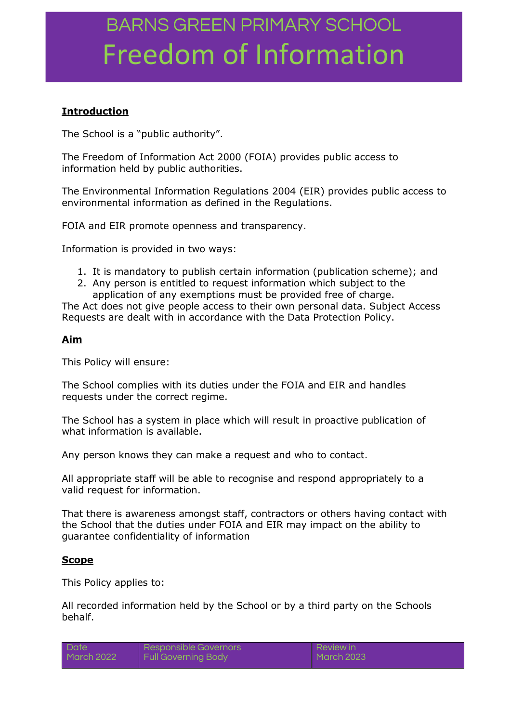### **Introduction**

The School is a "public authority".

The Freedom of Information Act 2000 (FOIA) provides public access to information held by public authorities.

The Environmental Information Regulations 2004 (EIR) provides public access to environmental information as defined in the Regulations.

FOIA and EIR promote openness and transparency.

Information is provided in two ways:

- 1. It is mandatory to publish certain information (publication scheme); and
- 2. Any person is entitled to request information which subject to the application of any exemptions must be provided free of charge.

The Act does not give people access to their own personal data. Subject Access Requests are dealt with in accordance with the Data Protection Policy.

#### **Aim**

This Policy will ensure:

The School complies with its duties under the FOIA and EIR and handles requests under the correct regime.

The School has a system in place which will result in proactive publication of what information is available.

Any person knows they can make a request and who to contact.

All appropriate staff will be able to recognise and respond appropriately to a valid request for information.

That there is awareness amongst staff, contractors or others having contact with the School that the duties under FOIA and EIR may impact on the ability to guarantee confidentiality of information

#### **Scope**

This Policy applies to:

All recorded information held by the School or by a third party on the Schools behalf.

| <b>Date</b> | Responsible Governors      | Review in  |
|-------------|----------------------------|------------|
| March 2022  | <b>Full Governing Body</b> | March 2023 |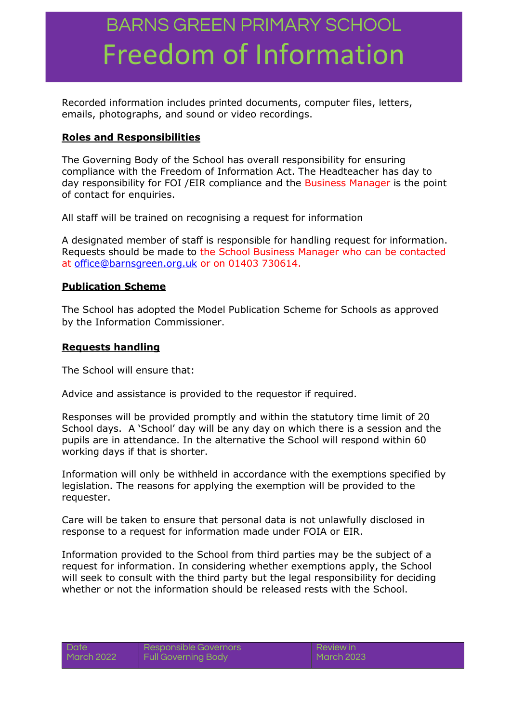Recorded information includes printed documents, computer files, letters, emails, photographs, and sound or video recordings.

#### **Roles and Responsibilities**

The Governing Body of the School has overall responsibility for ensuring compliance with the Freedom of Information Act. The Headteacher has day to day responsibility for FOI /EIR compliance and the Business Manager is the point of contact for enquiries.

All staff will be trained on recognising a request for information

A designated member of staff is responsible for handling request for information. Requests should be made to the School Business Manager who can be contacted at [office@barnsgreen.org.uk](mailto:office@barnsgreen.org.uk) or on 01403 730614.

#### **Publication Scheme**

The School has adopted the Model Publication Scheme for Schools as approved by the Information Commissioner.

#### **Requests handling**

The School will ensure that:

Advice and assistance is provided to the requestor if required.

Responses will be provided promptly and within the statutory time limit of 20 School days. A 'School' day will be any day on which there is a session and the pupils are in attendance. In the alternative the School will respond within 60 working days if that is shorter.

Information will only be withheld in accordance with the exemptions specified by legislation. The reasons for applying the exemption will be provided to the requester.

Care will be taken to ensure that personal data is not unlawfully disclosed in response to a request for information made under FOIA or EIR.

Information provided to the School from third parties may be the subject of a request for information. In considering whether exemptions apply, the School will seek to consult with the third party but the legal responsibility for deciding whether or not the information should be released rests with the School.

ors

| <b>Date</b> | <b>Responsible Govern</b>  |
|-------------|----------------------------|
| March 2022  | <b>Full Governing Body</b> |

Review in March 2023